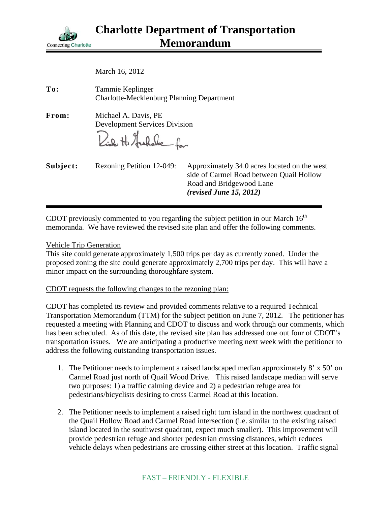

| To:      | Tammie Keplinger<br><b>Charlotte-Mecklenburg Planning Department</b>            |                                                                                                                                                 |
|----------|---------------------------------------------------------------------------------|-------------------------------------------------------------------------------------------------------------------------------------------------|
| From:    | Michael A. Davis, PE<br><b>Development Services Division</b><br>Rich H. Hushake |                                                                                                                                                 |
| Subject: | Rezoning Petition 12-049:                                                       | Approximately 34.0 acres located on the west<br>side of Carmel Road between Quail Hollow<br>Road and Bridgewood Lane<br>(revised June 15, 2012) |

CDOT previously commented to you regarding the subject petition in our March  $16<sup>th</sup>$ memoranda. We have reviewed the revised site plan and offer the following comments.

## Vehicle Trip Generation

This site could generate approximately 1,500 trips per day as currently zoned. Under the proposed zoning the site could generate approximately 2,700 trips per day. This will have a minor impact on the surrounding thoroughfare system.

## CDOT requests the following changes to the rezoning plan:

CDOT has completed its review and provided comments relative to a required Technical Transportation Memorandum (TTM) for the subject petition on June 7, 2012. The petitioner has requested a meeting with Planning and CDOT to discuss and work through our comments, which has been scheduled. As of this date, the revised site plan has addressed one out four of CDOT's transportation issues. We are anticipating a productive meeting next week with the petitioner to address the following outstanding transportation issues.

- 1. The Petitioner needs to implement a raised landscaped median approximately 8' x 50' on Carmel Road just north of Quail Wood Drive. This raised landscape median will serve two purposes: 1) a traffic calming device and 2) a pedestrian refuge area for pedestrians/bicyclists desiring to cross Carmel Road at this location.
- 2. The Petitioner needs to implement a raised right turn island in the northwest quadrant of the Quail Hollow Road and Carmel Road intersection (i.e. similar to the existing raised island located in the southwest quadrant, expect much smaller). This improvement will provide pedestrian refuge and shorter pedestrian crossing distances, which reduces vehicle delays when pedestrians are crossing either street at this location. Traffic signal